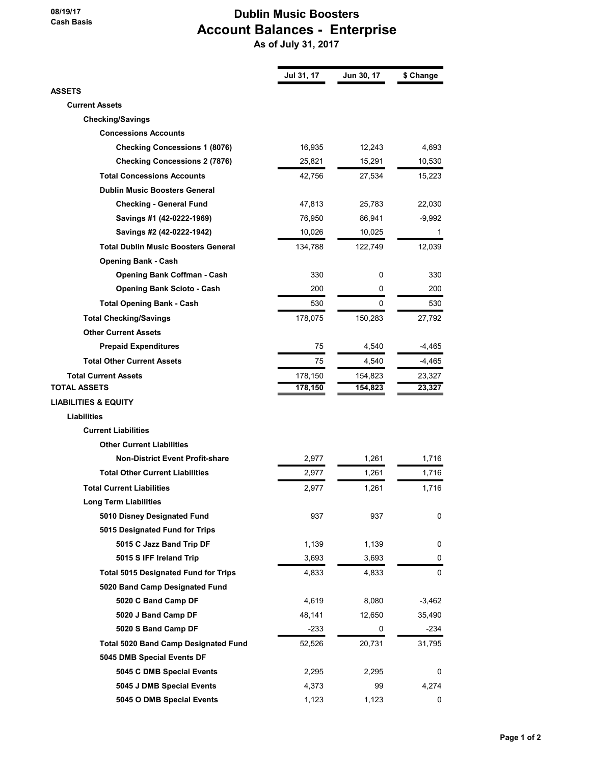## 08/19/17 Cash Basis

## Dublin Music Boosters Account Balances - Enterprise

As of July 31, 2017

|                                             | Jul 31, 17 | Jun 30, 17 | \$ Change |
|---------------------------------------------|------------|------------|-----------|
| ASSETS                                      |            |            |           |
| <b>Current Assets</b>                       |            |            |           |
| <b>Checking/Savings</b>                     |            |            |           |
| <b>Concessions Accounts</b>                 |            |            |           |
| <b>Checking Concessions 1 (8076)</b>        | 16,935     | 12,243     | 4,693     |
| <b>Checking Concessions 2 (7876)</b>        | 25,821     | 15,291     | 10,530    |
| <b>Total Concessions Accounts</b>           | 42,756     | 27,534     | 15,223    |
| <b>Dublin Music Boosters General</b>        |            |            |           |
| <b>Checking - General Fund</b>              | 47,813     | 25,783     | 22,030    |
| Savings #1 (42-0222-1969)                   | 76,950     | 86,941     | -9,992    |
| Savings #2 (42-0222-1942)                   | 10,026     | 10,025     | 1         |
| <b>Total Dublin Music Boosters General</b>  | 134,788    | 122,749    | 12,039    |
| <b>Opening Bank - Cash</b>                  |            |            |           |
| <b>Opening Bank Coffman - Cash</b>          | 330        | 0          | 330       |
| <b>Opening Bank Scioto - Cash</b>           | 200        | 0          | 200       |
| <b>Total Opening Bank - Cash</b>            | 530        | 0          | 530       |
| <b>Total Checking/Savings</b>               | 178,075    | 150,283    | 27,792    |
| <b>Other Current Assets</b>                 |            |            |           |
| <b>Prepaid Expenditures</b>                 | 75         | 4,540      | -4,465    |
| <b>Total Other Current Assets</b>           | 75         | 4,540      | -4,465    |
| <b>Total Current Assets</b>                 | 178,150    | 154,823    | 23,327    |
| <b>TOTAL ASSETS</b>                         | 178,150    | 154,823    | 23,327    |
| <b>LIABILITIES &amp; EQUITY</b>             |            |            |           |
| <b>Liabilities</b>                          |            |            |           |
| <b>Current Liabilities</b>                  |            |            |           |
| <b>Other Current Liabilities</b>            |            |            |           |
| <b>Non-District Event Profit-share</b>      | 2,977      | 1,261      | 1,716     |
| <b>Total Other Current Liabilities</b>      | 2,977      | 1,261      | 1,716     |
| <b>Total Current Liabilities</b>            | 2,977      | 1,261      | 1,716     |
| <b>Long Term Liabilities</b>                |            |            |           |
| 5010 Disney Designated Fund                 | 937        | 937        | 0         |
| 5015 Designated Fund for Trips              |            |            |           |
| 5015 C Jazz Band Trip DF                    | 1,139      | 1,139      | 0         |
| 5015 S IFF Ireland Trip                     | 3,693      | 3,693      | 0         |
| <b>Total 5015 Designated Fund for Trips</b> | 4,833      | 4,833      | 0         |
| 5020 Band Camp Designated Fund              |            |            |           |
| 5020 C Band Camp DF                         | 4,619      | 8,080      | $-3,462$  |
| 5020 J Band Camp DF                         | 48,141     | 12,650     | 35,490    |
| 5020 S Band Camp DF                         | -233       | 0          | -234      |
| <b>Total 5020 Band Camp Designated Fund</b> | 52,526     | 20,731     | 31,795    |
| 5045 DMB Special Events DF                  |            |            |           |
| 5045 C DMB Special Events                   | 2,295      | 2,295      | 0         |
| 5045 J DMB Special Events                   | 4,373      | 99         | 4,274     |
| 5045 O DMB Special Events                   | 1,123      | 1,123      | 0         |